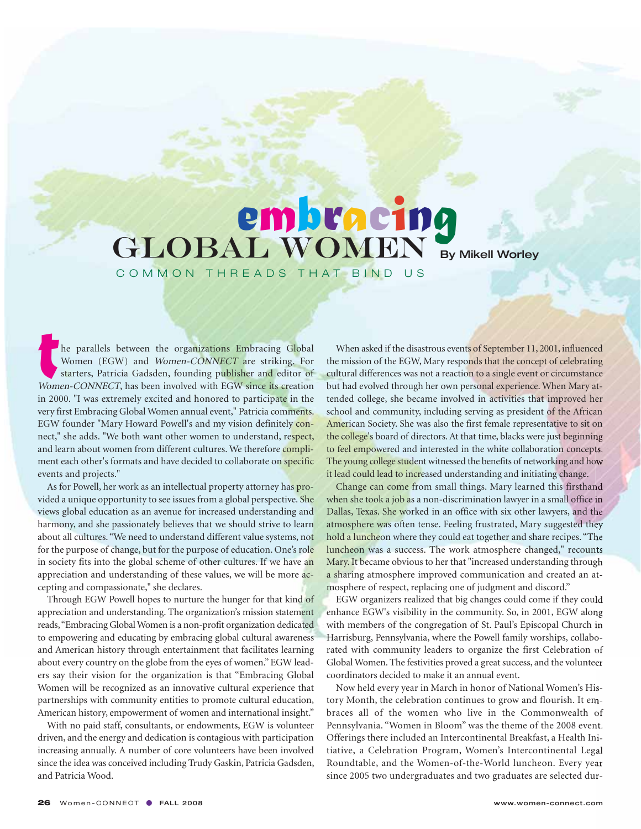## **embracing**<br>GLOBAL WOMEN By Mikell Worley

COMMON THREADS THAT BIND US

he parallels between the organizations Embracing Global Women (EGW) and Women-CONNECT are striking. For starters, Patricia Gadsden, founding publisher and editor of Women-CONNECT, has been involved with EGW since its creation in 2000. "I was extremely excited and honored to participate in the very first Embracing Global Women annual event," Patricia comments. EGW founder "Mary Howard Powell's and my vision definitely connect," she adds. "We both want other women to understand, respect, and learn about women from different cultures. We therefore compliment each other's formats and have decided to collaborate on specific events and projects."

As for Powell, her work as an intellectual property attorney has provided a unique opportunity to see issues from a global perspective. She views global education as an avenue for increased understanding and harmony, and she passionately believes that we should strive to learn about all cultures. "We need to understand different value systems, not for the purpose of change, but for the purpose of education. One's role in society fits into the global scheme of other cultures. If we have an appreciation and understanding of these values, we will be more accepting and compassionate," she declares.

Through EGW Powell hopes to nurture the hunger for that kind of appreciation and understanding. The organization's mission statement reads, "Embracing Global Women is a non-profit organization dedicated to empowering and educating by embracing global cultural awareness and American history through entertainment that facilitates learning about every country on the globe from the eyes of women." EGW leaders say their vision for the organization is that "Embracing Global Women will be recognized as an innovative cultural experience that partnerships with community entities to promote cultural education, American history, empowerment of women and international insight."

With no paid staff, consultants, or endowments, EGW is volunteer driven, and the energy and dedication is contagious with participation increasing annually. A number of core volunteers have been involved since the idea was conceived including Trudy Gaskin, Patricia Gadsden, and Patricia Wood.

When asked if the disastrous events of September 11, 2001, influenced the mission of the EGW, Mary responds that the concept of celebrating cultural differences was not a reaction to a single event or circumstance but had evolved through her own personal experience. When Mary attended college, she became involved in activities that improved her school and community, including serving as president of the African American Society. She was also the first female representative to sit on the college's board of directors. At that time, blacks were just beginning to feel empowered and interested in the white collaboration concepts. The young college student witnessed the benefits of networking and how it lead could lead to increased understanding and initiating change.

Change can come from small things. Mary learned this firsthand when she took a job as a non-discrimination lawyer in a small office in Dallas, Texas. She worked in an office with six other lawyers, and the atmosphere was often tense. Feeling frustrated, Mary suggested they hold a luncheon where they could eat together and share recipes. "The luncheon was a success. The work atmosphere changed," recounts Mary. It became obvious to her that "increased understanding through a sharing atmosphere improved communication and created an atmosphere of respect, replacing one of judgment and discord."

EGW organizers realized that big changes could come if they could enhance EGW's visibility in the community. So, in 2001, EGW along with members of the congregation of St. Paul's Episcopal Church in Harrisburg, Pennsylvania, where the Powell family worships, collaborated with community leaders to organize the first Celebration of Global Women. The festivities proved a great success, and the volunteer coordinators decided to make it an annual event.

Now held every year in March in honor of National Women's History Month, the celebration continues to grow and flourish. It embraces all of the women who live in the Commonwealth of Pennsylvania. "Women in Bloom" was the theme of the 2008 event. Offerings there included an Intercontinental Breakfast, a Health Initiative, a Celebration Program, Women's Intercontinental Legal Roundtable, and the Women-of-the-World luncheon. Every year since 2005 two undergraduates and two graduates are selected dur-